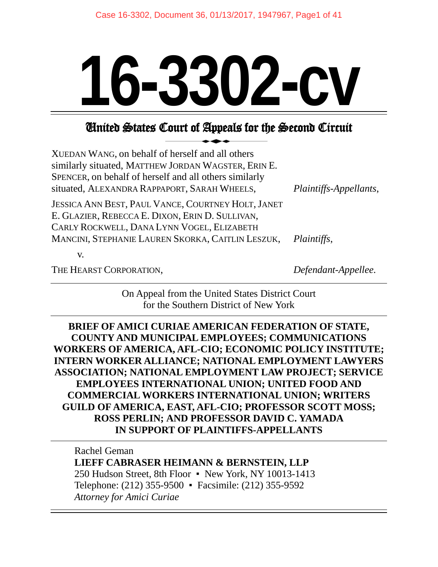# **16-3302-cv**

# United States Court of Appeals for the Second Circuit

| XUEDAN WANG, on behalf of herself and all others<br>similarly situated, MATTHEW JORDAN WAGSTER, ERIN E.<br>SPENCER, on behalf of herself and all others similarly<br>situated, ALEXANDRA RAPPAPORT, SARAH WHEELS, | Plaintiffs-Appellants, |
|-------------------------------------------------------------------------------------------------------------------------------------------------------------------------------------------------------------------|------------------------|
| JESSICA ANN BEST, PAUL VANCE, COURTNEY HOLT, JANET<br>E. GLAZIER, REBECCA E. DIXON, ERIN D. SULLIVAN,<br>CARLY ROCKWELL, DANA LYNN VOGEL, ELIZABETH                                                               |                        |
| MANCINI, STEPHANIE LAUREN SKORKA, CAITLIN LESZUK,                                                                                                                                                                 | <i>Plaintiffs,</i>     |
| V.                                                                                                                                                                                                                |                        |
| THE HEARST CORPORATION,                                                                                                                                                                                           | Defendant-Appellee.    |

On Appeal from the United States District Court for the Southern District of New York

**BRIEF OF AMICI CURIAE AMERICAN FEDERATION OF STATE, COUNTY AND MUNICIPAL EMPLOYEES; COMMUNICATIONS WORKERS OF AMERICA, AFL-CIO; ECONOMIC POLICY INSTITUTE; INTERN WORKER ALLIANCE; NATIONAL EMPLOYMENT LAWYERS ASSOCIATION; NATIONAL EMPLOYMENT LAW PROJECT; SERVICE EMPLOYEES INTERNATIONAL UNION; UNITED FOOD AND COMMERCIAL WORKERS INTERNATIONAL UNION; WRITERS GUILD OF AMERICA, EAST, AFL-CIO; PROFESSOR SCOTT MOSS; ROSS PERLIN; AND PROFESSOR DAVID C. YAMADA IN SUPPORT OF PLAINTIFFS-APPELLANTS**

Rachel Geman **LIEFF CABRASER HEIMANN & BERNSTEIN, LLP** 250 Hudson Street, 8th Floor ▪ New York, NY 10013-1413 Telephone: (212) 355-9500 ▪ Facsimile: (212) 355-9592 *Attorney for Amici Curiae*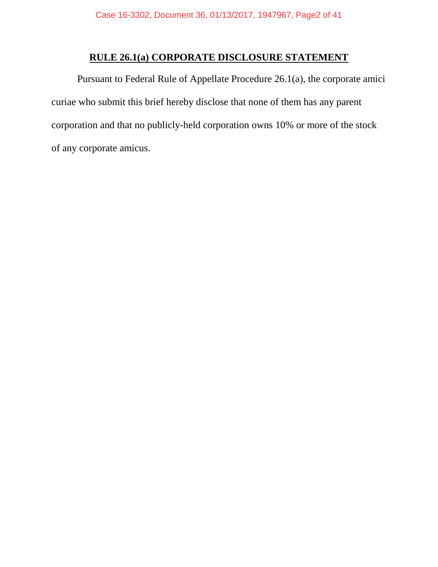## **RULE 26.1(a) CORPORATE DISCLOSURE STATEMENT**

<span id="page-1-0"></span>Pursuant to Federal Rule of Appellate Procedure 26.1(a), the corporate amici curiae who submit this brief hereby disclose that none of them has any parent corporation and that no publicly-held corporation owns 10% or more of the stock of any corporate amicus.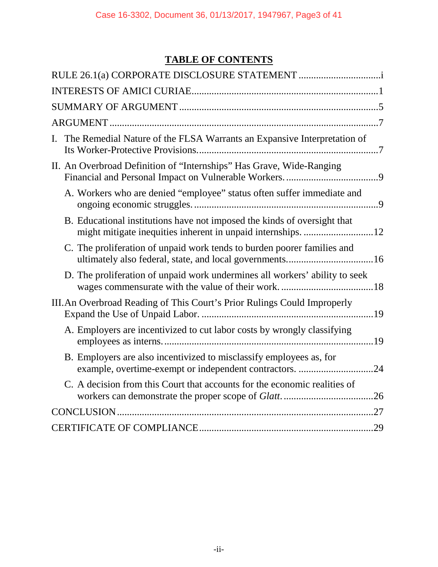## **TABLE OF CONTENTS**

| I. | The Remedial Nature of the FLSA Warrants an Expansive Interpretation of                                                            |
|----|------------------------------------------------------------------------------------------------------------------------------------|
|    | II. An Overbroad Definition of "Internships" Has Grave, Wide-Ranging                                                               |
|    | A. Workers who are denied "employee" status often suffer immediate and                                                             |
|    | B. Educational institutions have not imposed the kinds of oversight that                                                           |
|    | C. The proliferation of unpaid work tends to burden poorer families and<br>ultimately also federal, state, and local governments16 |
|    | D. The proliferation of unpaid work undermines all workers' ability to seek                                                        |
|    | III. An Overbroad Reading of This Court's Prior Rulings Could Improperly                                                           |
|    | A. Employers are incentivized to cut labor costs by wrongly classifying                                                            |
|    | B. Employers are also incentivized to misclassify employees as, for<br>example, overtime-exempt or independent contractors. 24     |
|    | C. A decision from this Court that accounts for the economic realities of                                                          |
|    |                                                                                                                                    |
|    |                                                                                                                                    |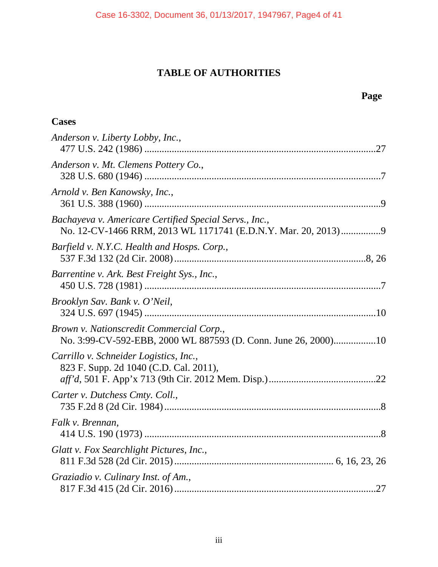## **TABLE OF AUTHORITIES**

817 F.3d 415 (2d Cir. 2016).................................................................................27

iii

**Cases** *Anderson v. Liberty Lobby, Inc.*, 477 U.S. 242 (1986) .............................................................................................27 *Anderson v. Mt. Clemens Pottery Co.*, 328 U.S. 680 (1946) ...............................................................................................7 *Arnold v. Ben Kanowsky, Inc.*, 361 U.S. 388 (1960) ...............................................................................................9 *Bachayeva v. Americare Certified Special Servs., Inc.*, No. 12-CV-1466 RRM, 2013 WL 1171741 (E.D.N.Y. Mar. 20, 2013)................9 *Barfield v. N.Y.C. Health and Hosps. Corp.*, 537 F.3d 132 (2d Cir. 2008).............................................................................8, 26 *Barrentine v. Ark. Best Freight Sys., Inc.*, 450 U.S. 728 (1981) ...............................................................................................7 *Brooklyn Sav. Bank v. O'Neil*, 324 U.S. 697 (1945) .............................................................................................10 *Brown v. Nationscredit Commercial Corp.*, No. 3:99-CV-592-EBB, 2000 WL 887593 (D. Conn. June 26, 2000).................10 *Carrillo v. Schneider Logistics, Inc.*, 823 F. Supp. 2d 1040 (C.D. Cal. 2011), *aff'd*, 501 F. App'x 713 (9th Cir. 2012 Mem. Disp.)...........................................22 *Carter v. Dutchess Cmty. Coll.*, 735 F.2d 8 (2d Cir. 1984).......................................................................................8 *Falk v. Brennan*, 414 U.S. 190 (1973) ...............................................................................................8 *Glatt v. Fox Searchlight Pictures, Inc.*, 811 F.3d 528 (2d Cir. 2015)................................................................ 6, 16, 23, 26 *Graziadio v. Culinary Inst. of Am.*,

## **Page**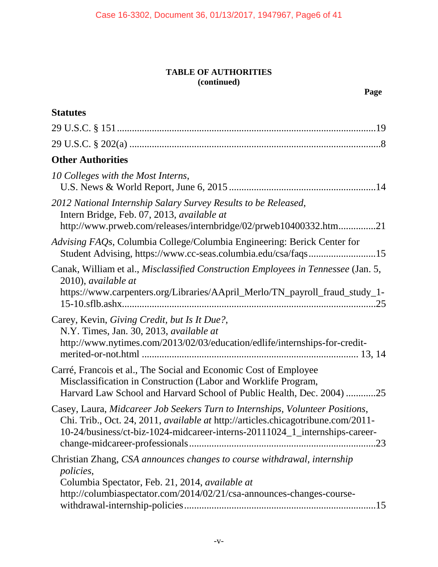| <b>Statutes</b>                                                                                                                                                                                                                                  |
|--------------------------------------------------------------------------------------------------------------------------------------------------------------------------------------------------------------------------------------------------|
|                                                                                                                                                                                                                                                  |
|                                                                                                                                                                                                                                                  |
| <b>Other Authorities</b>                                                                                                                                                                                                                         |
| 10 Colleges with the Most Interns,                                                                                                                                                                                                               |
| 2012 National Internship Salary Survey Results to be Released,<br>Intern Bridge, Feb. 07, 2013, available at<br>http://www.prweb.com/releases/internbridge/02/prweb10400332.htm21                                                                |
| Advising FAQs, Columbia College/Columbia Engineering: Berick Center for<br>Student Advising, https://www.cc-seas.columbia.edu/csa/faqs15                                                                                                         |
| Canak, William et al., Misclassified Construction Employees in Tennessee (Jan. 5,<br>2010), available at<br>https://www.carpenters.org/Libraries/AApril_Merlo/TN_payroll_fraud_study_1-                                                          |
| Carey, Kevin, Giving Credit, but Is It Due?,<br>N.Y. Times, Jan. 30, 2013, available at<br>http://www.nytimes.com/2013/02/03/education/edlife/internships-for-credit-                                                                            |
| Carré, Francois et al., The Social and Economic Cost of Employee<br>Misclassification in Construction (Labor and Worklife Program,<br>Harvard Law School and Harvard School of Public Health, Dec. 2004) 25                                      |
| Casey, Laura, Midcareer Job Seekers Turn to Internships, Volunteer Positions,<br>Chi. Trib., Oct. 24, 2011, available at http://articles.chicagotribune.com/2011-<br>10-24/business/ct-biz-1024-midcareer-interns-20111024_1_internships-career- |
| Christian Zhang, CSA announces changes to course withdrawal, internship<br><i>policies,</i><br>Columbia Spectator, Feb. 21, 2014, available at<br>http://columbiaspectator.com/2014/02/21/csa-announces-changes-course-                          |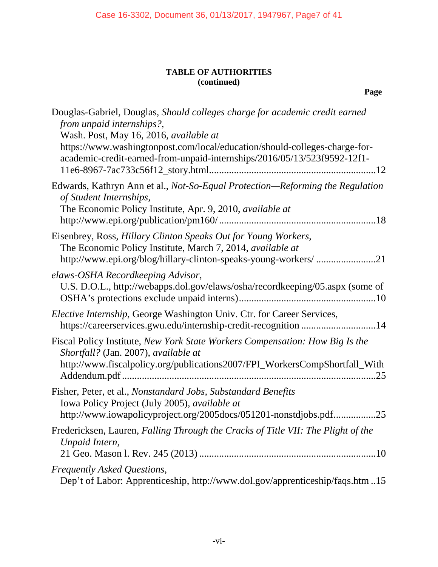| Douglas-Gabriel, Douglas, Should colleges charge for academic credit earned<br>from unpaid internships?,<br>Wash. Post, May 16, 2016, available at<br>https://www.washingtonpost.com/local/education/should-colleges-charge-for-<br>academic-credit-earned-from-unpaid-internships/2016/05/13/523f9592-12f1- |
|--------------------------------------------------------------------------------------------------------------------------------------------------------------------------------------------------------------------------------------------------------------------------------------------------------------|
| Edwards, Kathryn Ann et al., Not-So-Equal Protection—Reforming the Regulation<br>of Student Internships,<br>The Economic Policy Institute, Apr. 9, 2010, available at                                                                                                                                        |
| Eisenbrey, Ross, Hillary Clinton Speaks Out for Young Workers,<br>The Economic Policy Institute, March 7, 2014, available at                                                                                                                                                                                 |
| elaws-OSHA Recordkeeping Advisor,<br>U.S. D.O.L., http://webapps.dol.gov/elaws/osha/recordkeeping/05.aspx (some of                                                                                                                                                                                           |
| Elective Internship, George Washington Univ. Ctr. for Career Services,<br>https://careerservices.gwu.edu/internship-credit-recognition 14                                                                                                                                                                    |
| Fiscal Policy Institute, New York State Workers Compensation: How Big Is the<br>Shortfall? (Jan. 2007), available at<br>http://www.fiscalpolicy.org/publications2007/FPI_WorkersCompShortfall_With                                                                                                           |
| Fisher, Peter, et al., Nonstandard Jobs, Substandard Benefits<br>Iowa Policy Project (July 2005), available at<br>http://www.iowapolicyproject.org/2005docs/051201-nonstdjobs.pdf25                                                                                                                          |
| Fredericksen, Lauren, Falling Through the Cracks of Title VII: The Plight of the<br>Unpaid Intern,                                                                                                                                                                                                           |
| Frequently Asked Questions,<br>Dep't of Labor: Apprenticeship, http://www.dol.gov/apprenticeship/faqs.htm15                                                                                                                                                                                                  |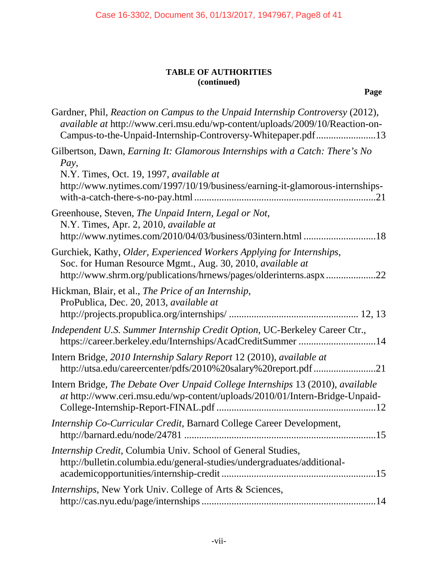| Gardner, Phil, Reaction on Campus to the Unpaid Internship Controversy (2012),<br>available at http://www.ceri.msu.edu/wp-content/uploads/2009/10/Reaction-on-<br>Campus-to-the-Unpaid-Internship-Controversy-Whitepaper.pdf13 |
|--------------------------------------------------------------------------------------------------------------------------------------------------------------------------------------------------------------------------------|
| Gilbertson, Dawn, Earning It: Glamorous Internships with a Catch: There's No<br>Pay,<br>N.Y. Times, Oct. 19, 1997, available at<br>http://www.nytimes.com/1997/10/19/business/earning-it-glamorous-internships-                |
| Greenhouse, Steven, The Unpaid Intern, Legal or Not,<br>N.Y. Times, Apr. 2, 2010, available at<br>http://www.nytimes.com/2010/04/03/business/03intern.html 18                                                                  |
| Gurchiek, Kathy, Older, Experienced Workers Applying for Internships,<br>Soc. for Human Resource Mgmt., Aug. 30, 2010, available at<br>http://www.shrm.org/publications/hrnews/pages/olderinterns.aspx22                       |
| Hickman, Blair, et al., The Price of an Internship,<br>ProPublica, Dec. 20, 2013, available at                                                                                                                                 |
| Independent U.S. Summer Internship Credit Option, UC-Berkeley Career Ctr.,<br>https://career.berkeley.edu/Internships/AcadCreditSummer 14                                                                                      |
| Intern Bridge, 2010 Internship Salary Report 12 (2010), available at<br>http://utsa.edu/careercenter/pdfs/2010%20salary%20report.pdf 21                                                                                        |
| Intern Bridge, The Debate Over Unpaid College Internships 13 (2010), available<br>at http://www.ceri.msu.edu/wp-content/uploads/2010/01/Intern-Bridge-Unpaid-                                                                  |
| Internship Co-Curricular Credit, Barnard College Career Development,                                                                                                                                                           |
| <i>Internship Credit, Columbia Univ. School of General Studies,</i><br>http://bulletin.columbia.edu/general-studies/undergraduates/additional-<br>academicopportunities/internship-credit                                      |
| <i>Internships</i> , New York Univ. College of Arts & Sciences,                                                                                                                                                                |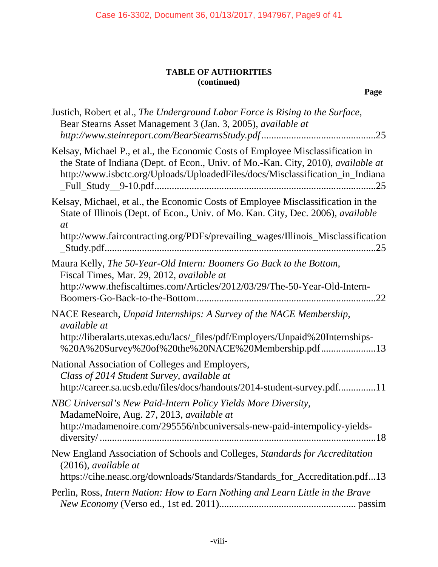| Justich, Robert et al., The Underground Labor Force is Rising to the Surface,<br>Bear Stearns Asset Management 3 (Jan. 3, 2005), available at                                                                                                                        |
|----------------------------------------------------------------------------------------------------------------------------------------------------------------------------------------------------------------------------------------------------------------------|
| Kelsay, Michael P., et al., the Economic Costs of Employee Misclassification in<br>the State of Indiana (Dept. of Econ., Univ. of Mo.-Kan. City, 2010), available at<br>http://www.isbctc.org/Uploads/UploadedFiles/docs/Misclassification_in_Indiana                |
| Kelsay, Michael, et al., the Economic Costs of Employee Misclassification in the<br>State of Illinois (Dept. of Econ., Univ. of Mo. Kan. City, Dec. 2006), available<br><i>at</i><br>http://www.faircontracting.org/PDFs/prevailing_wages/Illinois_Misclassification |
| Maura Kelly, The 50-Year-Old Intern: Boomers Go Back to the Bottom,<br>Fiscal Times, Mar. 29, 2012, available at<br>http://www.thefiscaltimes.com/Articles/2012/03/29/The-50-Year-Old-Intern-<br>22                                                                  |
| NACE Research, Unpaid Internships: A Survey of the NACE Membership,<br><i>available at</i><br>http://liberalarts.utexas.edu/lacs/_files/pdf/Employers/Unpaid%20Internships-<br>%20A%20Survey%20of%20the%20NACE%20Membership.pdf13                                    |
| National Association of Colleges and Employers,<br>Class of 2014 Student Survey, available at<br>http://career.sa.ucsb.edu/files/docs/handouts/2014-student-survey.pdf11                                                                                             |
| NBC Universal's New Paid-Intern Policy Yields More Diversity,<br>MadameNoire, Aug. 27, 2013, available at<br>http://madamenoire.com/295556/nbcuniversals-new-paid-internpolicy-yields-                                                                               |
| New England Association of Schools and Colleges, Standards for Accreditation<br>$(2016)$ , available at<br>https://cihe.neasc.org/downloads/Standards/Standards_for_Accreditation.pdf13                                                                              |
| Perlin, Ross, Intern Nation: How to Earn Nothing and Learn Little in the Brave                                                                                                                                                                                       |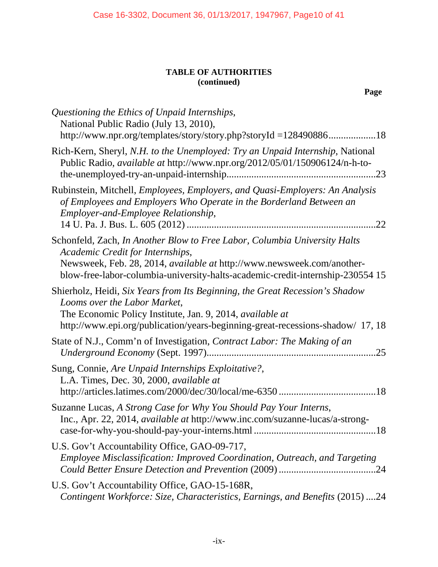| Questioning the Ethics of Unpaid Internships,<br>National Public Radio (July 13, 2010),<br>http://www.npr.org/templates/story/story.php?storyId=12849088618                                                                                                               |
|---------------------------------------------------------------------------------------------------------------------------------------------------------------------------------------------------------------------------------------------------------------------------|
| Rich-Kern, Sheryl, N.H. to the Unemployed: Try an Unpaid Internship, National<br>Public Radio, available at http://www.npr.org/2012/05/01/150906124/n-h-to-                                                                                                               |
| Rubinstein, Mitchell, Employees, Employers, and Quasi-Employers: An Analysis<br>of Employees and Employers Who Operate in the Borderland Between an<br>Employer-and-Employee Relationship,                                                                                |
| Schonfeld, Zach, In Another Blow to Free Labor, Columbia University Halts<br>Academic Credit for Internships,<br>Newsweek, Feb. 28, 2014, available at http://www.newsweek.com/another-<br>blow-free-labor-columbia-university-halts-academic-credit-internship-230554 15 |
| Shierholz, Heidi, Six Years from Its Beginning, the Great Recession's Shadow<br>Looms over the Labor Market,<br>The Economic Policy Institute, Jan. 9, 2014, available at<br>http://www.epi.org/publication/years-beginning-great-recessions-shadow/ 17, 18               |
| State of N.J., Comm'n of Investigation, Contract Labor: The Making of an<br>.25                                                                                                                                                                                           |
| Sung, Connie, Are Unpaid Internships Exploitative?,<br>L.A. Times, Dec. 30, 2000, available at                                                                                                                                                                            |
| Suzanne Lucas, A Strong Case for Why You Should Pay Your Interns,<br>Inc., Apr. 22, 2014, available at http://www.inc.com/suzanne-lucas/a-strong-                                                                                                                         |
| U.S. Gov't Accountability Office, GAO-09-717,<br>Employee Misclassification: Improved Coordination, Outreach, and Targeting                                                                                                                                               |
| U.S. Gov't Accountability Office, GAO-15-168R,<br>Contingent Workforce: Size, Characteristics, Earnings, and Benefits (2015) 24                                                                                                                                           |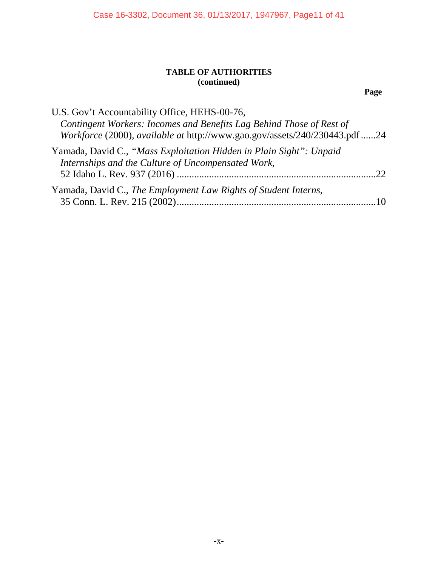**Page**

| U.S. Gov't Accountability Office, HEHS-00-76,<br>Contingent Workers: Incomes and Benefits Lag Behind Those of Rest of<br>Workforce (2000), available at http://www.gao.gov/assets/240/230443.pdf 24 |              |
|-----------------------------------------------------------------------------------------------------------------------------------------------------------------------------------------------------|--------------|
| Yamada, David C., "Mass Exploitation Hidden in Plain Sight": Unpaid<br>Internships and the Culture of Uncompensated Work,                                                                           | $22^{\circ}$ |
| Yamada, David C., The Employment Law Rights of Student Interns,                                                                                                                                     |              |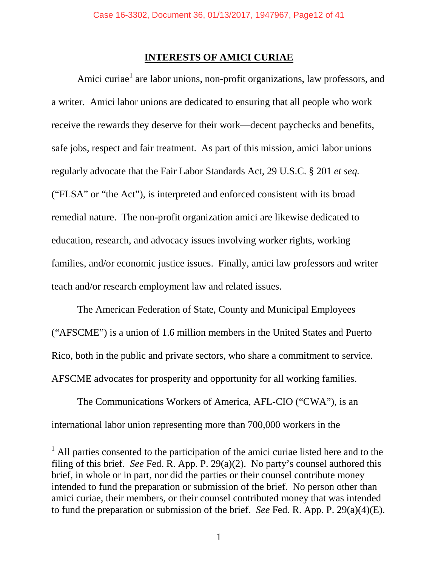## **INTERESTS OF AMICI CURIAE**

<span id="page-11-0"></span>Amici curiae<sup>[1](#page-11-1)</sup> are labor unions, non-profit organizations, law professors, and a writer. Amici labor unions are dedicated to ensuring that all people who work receive the rewards they deserve for their work—decent paychecks and benefits, safe jobs, respect and fair treatment. As part of this mission, amici labor unions regularly advocate that the Fair Labor Standards Act, 29 U.S.C. § 201 *et seq.*  ("FLSA" or "the Act"), is interpreted and enforced consistent with its broad remedial nature. The non-profit organization amici are likewise dedicated to education, research, and advocacy issues involving worker rights, working families, and/or economic justice issues. Finally, amici law professors and writer teach and/or research employment law and related issues.

The American Federation of State, County and Municipal Employees ("AFSCME") is a union of 1.6 million members in the United States and Puerto Rico, both in the public and private sectors, who share a commitment to service. AFSCME advocates for prosperity and opportunity for all working families.

The Communications Workers of America, AFL-CIO ("CWA"), is an international labor union representing more than 700,000 workers in the

<span id="page-11-1"></span> $<sup>1</sup>$  All parties consented to the participation of the amici curiae listed here and to the</sup> filing of this brief. *See* Fed. R. App. P. 29(a)(2). No party's counsel authored this brief, in whole or in part, nor did the parties or their counsel contribute money intended to fund the preparation or submission of the brief. No person other than amici curiae, their members, or their counsel contributed money that was intended to fund the preparation or submission of the brief. *See* Fed. R. App. P. 29(a)(4)(E).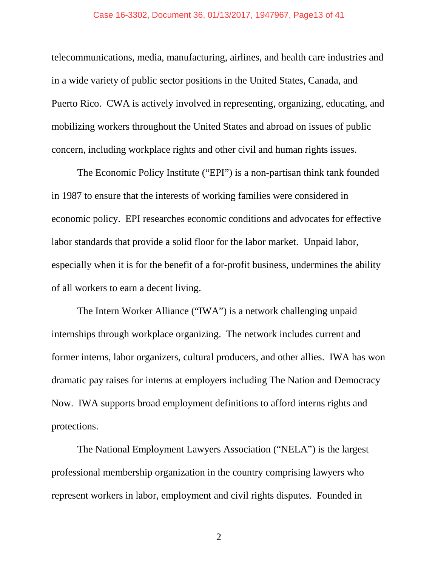#### Case 16-3302, Document 36, 01/13/2017, 1947967, Page13 of 41

telecommunications, media, manufacturing, airlines, and health care industries and in a wide variety of public sector positions in the United States, Canada, and Puerto Rico. CWA is actively involved in representing, organizing, educating, and mobilizing workers throughout the United States and abroad on issues of public concern, including workplace rights and other civil and human rights issues.

The Economic Policy Institute ("EPI") is a non-partisan think tank founded in 1987 to ensure that the interests of working families were considered in economic policy. EPI researches economic conditions and advocates for effective labor standards that provide a solid floor for the labor market. Unpaid labor, especially when it is for the benefit of a for-profit business, undermines the ability of all workers to earn a decent living.

The Intern Worker Alliance ("IWA") is a network challenging unpaid internships through workplace organizing. The network includes current and former interns, labor organizers, cultural producers, and other allies. IWA has won dramatic pay raises for interns at employers including The Nation and Democracy Now. IWA supports broad employment definitions to afford interns rights and protections.

The National Employment Lawyers Association ("NELA") is the largest professional membership organization in the country comprising lawyers who represent workers in labor, employment and civil rights disputes. Founded in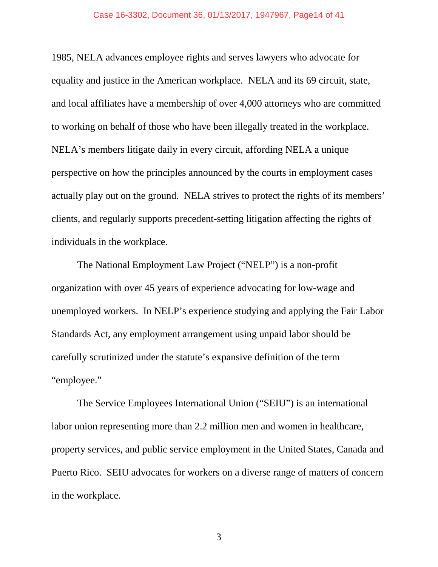#### Case 16-3302, Document 36, 01/13/2017, 1947967, Page14 of 41

1985, NELA advances employee rights and serves lawyers who advocate for equality and justice in the American workplace. NELA and its 69 circuit, state, and local affiliates have a membership of over 4,000 attorneys who are committed to working on behalf of those who have been illegally treated in the workplace. NELA's members litigate daily in every circuit, affording NELA a unique perspective on how the principles announced by the courts in employment cases actually play out on the ground. NELA strives to protect the rights of its members' clients, and regularly supports precedent-setting litigation affecting the rights of individuals in the workplace.

The National Employment Law Project ("NELP") is a non-profit organization with over 45 years of experience advocating for low-wage and unemployed workers. In NELP's experience studying and applying the Fair Labor Standards Act, any employment arrangement using unpaid labor should be carefully scrutinized under the statute's expansive definition of the term "employee."

The Service Employees International Union ("SEIU") is an international labor union representing more than 2.2 million men and women in healthcare, property services, and public service employment in the United States, Canada and Puerto Rico. SEIU advocates for workers on a diverse range of matters of concern in the workplace.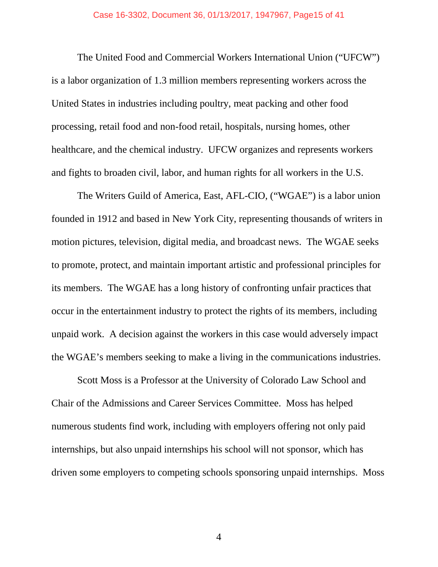The United Food and Commercial Workers International Union ("UFCW") is a labor organization of 1.3 million members representing workers across the United States in industries including poultry, meat packing and other food processing, retail food and non-food retail, hospitals, nursing homes, other healthcare, and the chemical industry. UFCW organizes and represents workers and fights to broaden civil, labor, and human rights for all workers in the U.S.

The Writers Guild of America, East, AFL-CIO, ("WGAE") is a labor union founded in 1912 and based in New York City, representing thousands of writers in motion pictures, television, digital media, and broadcast news. The WGAE seeks to promote, protect, and maintain important artistic and professional principles for its members. The WGAE has a long history of confronting unfair practices that occur in the entertainment industry to protect the rights of its members, including unpaid work. A decision against the workers in this case would adversely impact the WGAE's members seeking to make a living in the communications industries.

Scott Moss is a Professor at the University of Colorado Law School and Chair of the Admissions and Career Services Committee. Moss has helped numerous students find work, including with employers offering not only paid internships, but also unpaid internships his school will not sponsor, which has driven some employers to competing schools sponsoring unpaid internships. Moss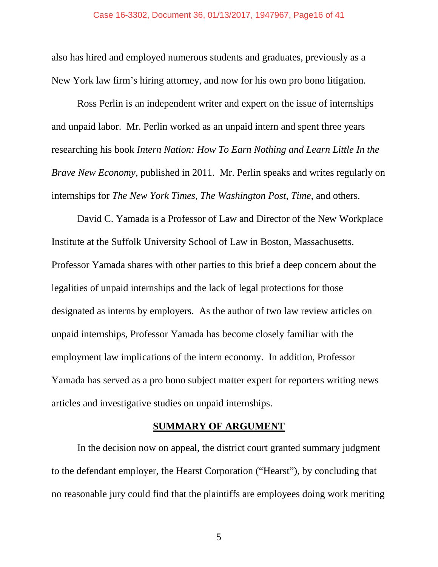also has hired and employed numerous students and graduates, previously as a New York law firm's hiring attorney, and now for his own pro bono litigation.

Ross Perlin is an independent writer and expert on the issue of internships and unpaid labor. Mr. Perlin worked as an unpaid intern and spent three years researching his book *Intern Nation: How To Earn Nothing and Learn Little In the Brave New Economy*, published in 2011. Mr. Perlin speaks and writes regularly on internships for *The New York Times*, *The Washington Post*, *Time*, and others.

David C. Yamada is a Professor of Law and Director of the New Workplace Institute at the Suffolk University School of Law in Boston, Massachusetts. Professor Yamada shares with other parties to this brief a deep concern about the legalities of unpaid internships and the lack of legal protections for those designated as interns by employers. As the author of two law review articles on unpaid internships, Professor Yamada has become closely familiar with the employment law implications of the intern economy. In addition, Professor Yamada has served as a pro bono subject matter expert for reporters writing news articles and investigative studies on unpaid internships.

## **SUMMARY OF ARGUMENT**

<span id="page-15-0"></span>In the decision now on appeal, the district court granted summary judgment to the defendant employer, the Hearst Corporation ("Hearst"), by concluding that no reasonable jury could find that the plaintiffs are employees doing work meriting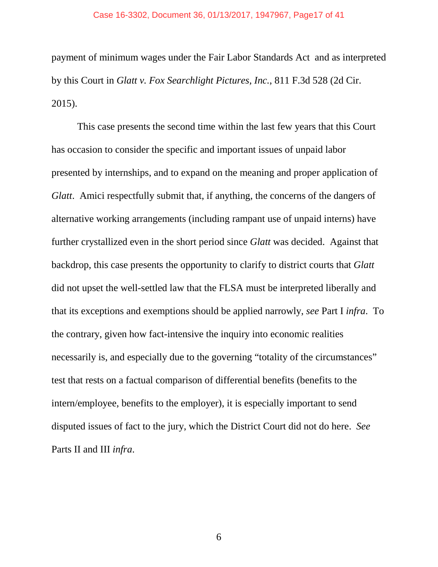#### Case 16-3302, Document 36, 01/13/2017, 1947967, Page17 of 41

payment of minimum wages under the Fair Labor Standards Act and as interpreted by this Court in *Glatt v. Fox Searchlight Pictures, Inc.*, 811 F.3d 528 (2d Cir. 2015).

This case presents the second time within the last few years that this Court has occasion to consider the specific and important issues of unpaid labor presented by internships, and to expand on the meaning and proper application of *Glatt*. Amici respectfully submit that, if anything, the concerns of the dangers of alternative working arrangements (including rampant use of unpaid interns) have further crystallized even in the short period since *Glatt* was decided. Against that backdrop, this case presents the opportunity to clarify to district courts that *Glatt* did not upset the well-settled law that the FLSA must be interpreted liberally and that its exceptions and exemptions should be applied narrowly, *see* Part I *infra*. To the contrary, given how fact-intensive the inquiry into economic realities necessarily is, and especially due to the governing "totality of the circumstances" test that rests on a factual comparison of differential benefits (benefits to the intern/employee, benefits to the employer), it is especially important to send disputed issues of fact to the jury, which the District Court did not do here. *See*  Parts II and III *infra*.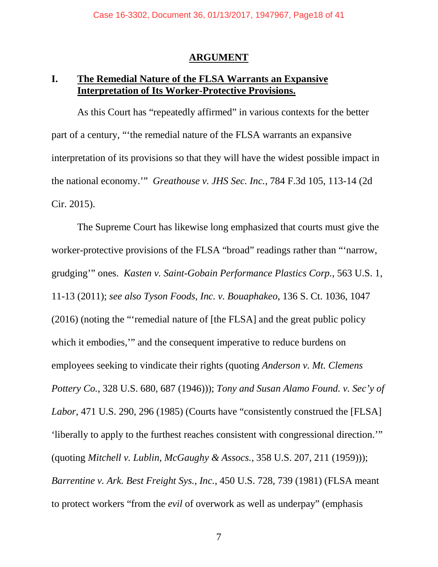#### **ARGUMENT**

## <span id="page-17-1"></span><span id="page-17-0"></span>**I. The Remedial Nature of the FLSA Warrants an Expansive Interpretation of Its Worker-Protective Provisions.**

As this Court has "repeatedly affirmed" in various contexts for the better part of a century, "'the remedial nature of the FLSA warrants an expansive interpretation of its provisions so that they will have the widest possible impact in the national economy.'" *Greathouse v. JHS Sec. Inc.*, 784 F.3d 105, 113-14 (2d Cir. 2015).

The Supreme Court has likewise long emphasized that courts must give the worker-protective provisions of the FLSA "broad" readings rather than "'narrow, grudging'" ones. *Kasten v. Saint-Gobain Performance Plastics Corp.*, 563 U.S. 1, 11-13 (2011); *see also Tyson Foods, Inc. v. Bouaphakeo*, 136 S. Ct. 1036, 1047 (2016) (noting the "'remedial nature of [the FLSA] and the great public policy which it embodies," and the consequent imperative to reduce burdens on employees seeking to vindicate their rights (quoting *Anderson v. Mt. Clemens Pottery Co.*, 328 U.S. 680, 687 (1946))); *Tony and Susan Alamo Found. v. Sec'y of Labor*, 471 U.S. 290, 296 (1985) (Courts have "consistently construed the [FLSA] 'liberally to apply to the furthest reaches consistent with congressional direction.'" (quoting *Mitchell v. Lublin, McGaughy & Assocs.*, 358 U.S. 207, 211 (1959))); *Barrentine v. Ark. Best Freight Sys., Inc.*, 450 U.S. 728, 739 (1981) (FLSA meant to protect workers "from the *evil* of overwork as well as underpay" (emphasis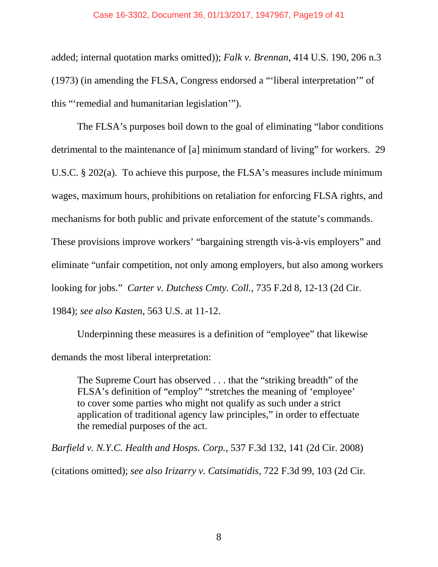#### Case 16-3302, Document 36, 01/13/2017, 1947967, Page19 of 41

added; internal quotation marks omitted)); *Falk v. Brennan*, 414 U.S. 190, 206 n.3 (1973) (in amending the FLSA, Congress endorsed a "'liberal interpretation'" of this "'remedial and humanitarian legislation'").

The FLSA's purposes boil down to the goal of eliminating "labor conditions detrimental to the maintenance of [a] minimum standard of living" for workers. 29 U.S.C. § 202(a). To achieve this purpose, the FLSA's measures include minimum wages, maximum hours, prohibitions on retaliation for enforcing FLSA rights, and mechanisms for both public and private enforcement of the statute's commands. These provisions improve workers' "bargaining strength vis-à-vis employers" and eliminate "unfair competition, not only among employers, but also among workers looking for jobs." *Carter v. Dutchess Cmty. Coll.*, 735 F.2d 8, 12-13 (2d Cir. 1984); *see also Kasten*, 563 U.S. at 11-12.

Underpinning these measures is a definition of "employee" that likewise demands the most liberal interpretation:

The Supreme Court has observed . . . that the "striking breadth" of the FLSA's definition of "employ" "stretches the meaning of 'employee' to cover some parties who might not qualify as such under a strict application of traditional agency law principles," in order to effectuate the remedial purposes of the act.

*Barfield v. N.Y.C. Health and Hosps. Corp.*, 537 F.3d 132, 141 (2d Cir. 2008) (citations omitted); *see also Irizarry v. Catsimatidis*, 722 F.3d 99, 103 (2d Cir.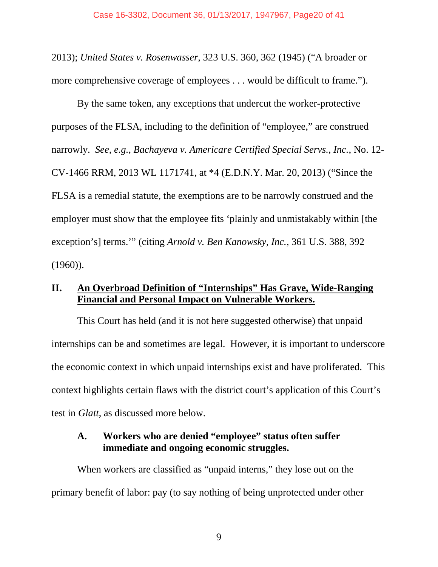2013); *United States v. Rosenwasser*, 323 U.S. 360, 362 (1945) ("A broader or more comprehensive coverage of employees . . . would be difficult to frame.").

By the same token, any exceptions that undercut the worker-protective purposes of the FLSA, including to the definition of "employee," are construed narrowly. *See, e.g.*, *Bachayeva v. Americare Certified Special Servs., Inc.*, No. 12- CV-1466 RRM, 2013 WL 1171741, at \*4 (E.D.N.Y. Mar. 20, 2013) ("Since the FLSA is a remedial statute, the exemptions are to be narrowly construed and the employer must show that the employee fits 'plainly and unmistakably within [the exception's] terms.'" (citing *Arnold v. Ben Kanowsky, Inc.*, 361 U.S. 388, 392  $(1960)$ ).

## <span id="page-19-0"></span>**II. An Overbroad Definition of "Internships" Has Grave, Wide-Ranging Financial and Personal Impact on Vulnerable Workers.**

This Court has held (and it is not here suggested otherwise) that unpaid internships can be and sometimes are legal. However, it is important to underscore the economic context in which unpaid internships exist and have proliferated. This context highlights certain flaws with the district court's application of this Court's test in *Glatt*, as discussed more below.

## <span id="page-19-1"></span>**A. Workers who are denied "employee" status often suffer immediate and ongoing economic struggles.**

When workers are classified as "unpaid interns," they lose out on the primary benefit of labor: pay (to say nothing of being unprotected under other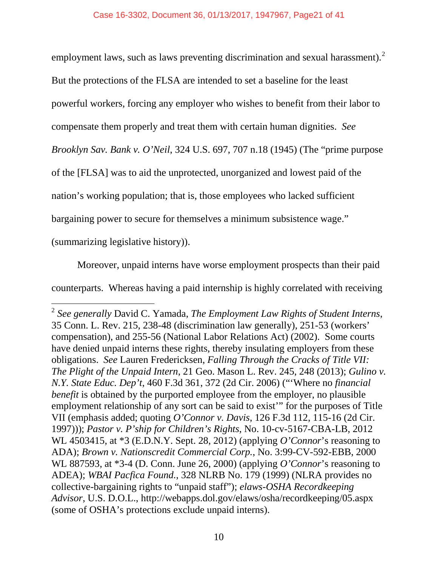employment laws, such as laws preventing discrimination and sexual harassment). $2$ But the protections of the FLSA are intended to set a baseline for the least powerful workers, forcing any employer who wishes to benefit from their labor to compensate them properly and treat them with certain human dignities. *See Brooklyn Sav. Bank v. O'Neil*, 324 U.S. 697, 707 n.18 (1945) (The "prime purpose of the [FLSA] was to aid the unprotected, unorganized and lowest paid of the nation's working population; that is, those employees who lacked sufficient bargaining power to secure for themselves a minimum subsistence wage." (summarizing legislative history)).

Moreover, unpaid interns have worse employment prospects than their paid counterparts. Whereas having a paid internship is highly correlated with receiving

<span id="page-20-0"></span><sup>2</sup> *See generally* David C. Yamada, *The Employment Law Rights of Student Interns*, 35 Conn. L. Rev. 215, 238-48 (discrimination law generally), 251-53 (workers' compensation), and 255-56 (National Labor Relations Act) (2002). Some courts have denied unpaid interns these rights, thereby insulating employers from these obligations. *See* Lauren Fredericksen, *Falling Through the Cracks of Title VII: The Plight of the Unpaid Intern*, 21 Geo. Mason L. Rev. 245, 248 (2013); *Gulino v. N.Y. State Educ. Dep't*, 460 F.3d 361, 372 (2d Cir. 2006) ("'Where no *financial benefit* is obtained by the purported employee from the employer, no plausible employment relationship of any sort can be said to exist'" for the purposes of Title VII (emphasis added; quoting *O'Connor v. Davis*, 126 F.3d 112, 115-16 (2d Cir. 1997))); *Pastor v. P'ship for Children's Rights*, No. 10-cv-5167-CBA-LB, 2012 WL 4503415, at \*3 (E.D.N.Y. Sept. 28, 2012) (applying *O'Connor*'s reasoning to ADA); *Brown v. Nationscredit Commercial Corp.*, No. 3:99-CV-592-EBB, 2000 WL 887593, at \*3-4 (D. Conn. June 26, 2000) (applying *O'Connor*'s reasoning to ADEA); *WBAI Pacfica Found.*, 328 NLRB No. 179 (1999) (NLRA provides no collective-bargaining rights to "unpaid staff"); *elaws-OSHA Recordkeeping Advisor*, U.S. D.O.L., http://webapps.dol.gov/elaws/osha/recordkeeping/05.aspx (some of OSHA's protections exclude unpaid interns).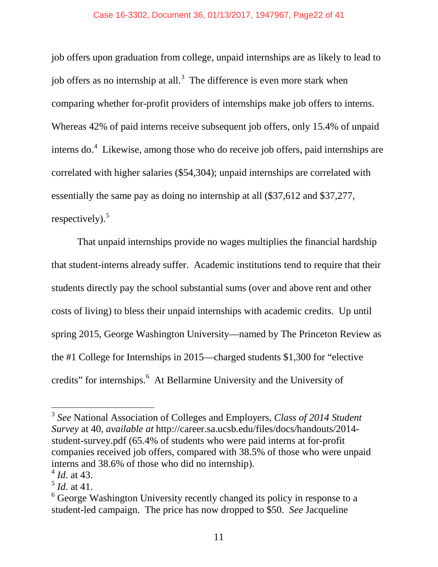#### Case 16-3302, Document 36, 01/13/2017, 1947967, Page22 of 41

job offers upon graduation from college, unpaid internships are as likely to lead to job offers as no internship at all.<sup>[3](#page-21-0)</sup> The difference is even more stark when comparing whether for-profit providers of internships make job offers to interns. Whereas 42% of paid interns receive subsequent job offers, only 15.4% of unpaid interns do.<sup>[4](#page-21-1)</sup> Likewise, among those who do receive job offers, paid internships are correlated with higher salaries (\$54,304); unpaid internships are correlated with essentially the same pay as doing no internship at all (\$37,612 and \$37,277, respectively). $5$ 

That unpaid internships provide no wages multiplies the financial hardship that student-interns already suffer. Academic institutions tend to require that their students directly pay the school substantial sums (over and above rent and other costs of living) to bless their unpaid internships with academic credits. Up until spring 2015, George Washington University—named by The Princeton Review as the #1 College for Internships in 2015—charged students \$1,300 for "elective credits" for internships.<sup>[6](#page-21-3)</sup> At Bellarmine University and the University of

<span id="page-21-0"></span><sup>3</sup> *See* National Association of Colleges and Employers, *Class of 2014 Student Survey* at 40, *available at* http://career.sa.ucsb.edu/files/docs/handouts/2014 student-survey.pdf (65.4% of students who were paid interns at for-profit companies received job offers, compared with 38.5% of those who were unpaid interns and 38.6% of those who did no internship).

<span id="page-21-1"></span><sup>4</sup> *Id*. at 43.

<span id="page-21-2"></span><sup>5</sup> *Id*. at 41.

<span id="page-21-3"></span> $6$  George Washington University recently changed its policy in response to a student-led campaign. The price has now dropped to \$50. *See* Jacqueline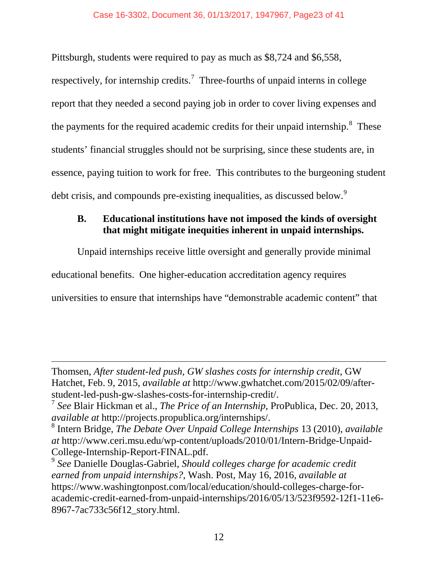Pittsburgh, students were required to pay as much as \$8,724 and \$6,558,

<span id="page-22-4"></span>respectively, for internship credits.<sup>[7](#page-22-1)</sup> Three-fourths of unpaid interns in college report that they needed a second paying job in order to cover living expenses and the payments for the required academic credits for their unpaid internship. $8$  These students' financial struggles should not be surprising, since these students are, in essence, paying tuition to work for free. This contributes to the burgeoning student debt crisis, and compounds pre-existing inequalities, as discussed below.<sup>[9](#page-22-3)</sup>

## <span id="page-22-0"></span>**B. Educational institutions have not imposed the kinds of oversight that might mitigate inequities inherent in unpaid internships.**

Unpaid internships receive little oversight and generally provide minimal educational benefits. One higher-education accreditation agency requires universities to ensure that internships have "demonstrable academic content" that

Thomsen, *After student-led push, GW slashes costs for internship credit*, GW Hatchet, Feb. 9, 2015, *available at* http://www.gwhatchet.com/2015/02/09/afterstudent-led-push-gw-slashes-costs-for-internship-credit/.

<span id="page-22-1"></span><sup>7</sup> *See* Blair Hickman et al., *The Price of an Internship*, ProPublica, Dec. 20, 2013, *available at* http://projects.propublica.org/internships/. <sup>8</sup> Intern Bridge, *The Debate Over Unpaid College Internships* 13 (2010), *available* 

<span id="page-22-2"></span>*at* http://www.ceri.msu.edu/wp-content/uploads/2010/01/Intern-Bridge-Unpaid-College-Internship-Report-FINAL.pdf. 9 *See* Danielle Douglas-Gabriel, *Should colleges charge for academic credit* 

<span id="page-22-3"></span>*earned from unpaid internships?*, Wash. Post, May 16, 2016, *available at*  https://www.washingtonpost.com/local/education/should-colleges-charge-foracademic-credit-earned-from-unpaid-internships/2016/05/13/523f9592-12f1-11e6- 8967-7ac733c56f12\_story.html.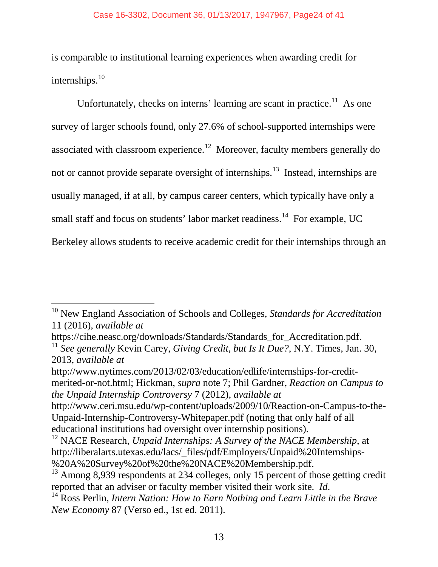#### <span id="page-23-5"></span>Case 16-3302, Document 36, 01/13/2017, 1947967, Page24 of 41

is comparable to institutional learning experiences when awarding credit for internships. $10$ 

Unfortunately, checks on interns' learning are scant in practice. $11$  As one survey of larger schools found, only 27.6% of school-supported internships were associated with classroom experience.<sup>[12](#page-23-2)</sup> Moreover, faculty members generally do not or cannot provide separate oversight of internships.<sup>[13](#page-23-3)</sup> Instead, internships are usually managed, if at all, by campus career centers, which typically have only a small staff and focus on students' labor market readiness.<sup>[14](#page-23-4)</sup> For example, UC Berkeley allows students to receive academic credit for their internships through an

<span id="page-23-6"></span> $\overline{a}$ 

http://www.nytimes.com/2013/02/03/education/edlife/internships-for-creditmerited-or-not.html; Hickman, *supra* note [7;](#page-22-4) Phil Gardner, *Reaction on Campus to the Unpaid Internship Controversy* 7 (2012), *available at* 

<span id="page-23-0"></span><sup>10</sup> New England Association of Schools and Colleges, *Standards for Accreditation* 11 (2016), *available at* 

<span id="page-23-1"></span><sup>&</sup>lt;sup>11</sup> See generally Kevin Carey, *Giving Credit, but Is It Due?*, N.Y. Times, Jan. 30, 2013, *available at*

http://www.ceri.msu.edu/wp-content/uploads/2009/10/Reaction-on-Campus-to-the-Unpaid-Internship-Controversy-Whitepaper.pdf (noting that only half of all educational institutions had oversight over internship positions).

<span id="page-23-2"></span><sup>&</sup>lt;sup>12</sup> NACE Research, *Unpaid Internships: A Survey of the NACE Membership*, at http://liberalarts.utexas.edu/lacs/\_files/pdf/Employers/Unpaid%20Internships-

<span id="page-23-3"></span><sup>%20</sup>A%20Survey%20of%20the%20NACE%20Membership.pdf. <sup>13</sup> Among 8,939 respondents at 234 colleges, only 15 percent of those getting credit reported that an adviser or faculty member visited their work site. *Id*. <sup>14</sup> Ross Perlin, *Intern Nation: How to Earn Nothing and Learn Little in the Brave* 

<span id="page-23-4"></span>*New Economy* 87 (Verso ed., 1st ed. 2011).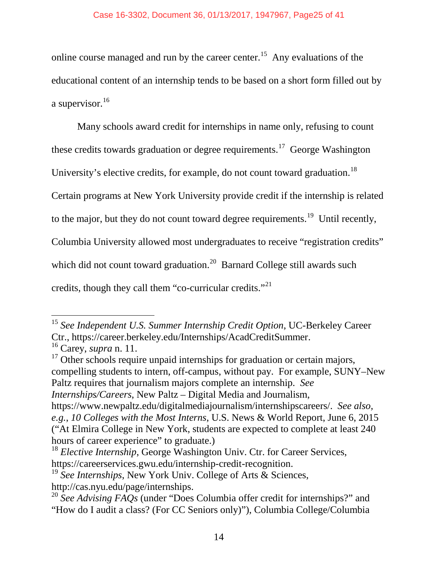online course managed and run by the career center.<sup>[15](#page-24-0)</sup> Any evaluations of the educational content of an internship tends to be based on a short form filled out by a supervisor.<sup>[16](#page-24-1)</sup>

Many schools award credit for internships in name only, refusing to count these credits towards graduation or degree requirements.<sup>17</sup> George Washington University's elective credits, for example, do not count toward graduation.<sup>[18](#page-24-3)</sup> Certain programs at New York University provide credit if the internship is related to the major, but they do not count toward degree requirements.<sup>19</sup> Until recently, Columbia University allowed most undergraduates to receive "registration credits" which did not count toward graduation.<sup>20</sup> Barnard College still awards such credits, though they call them "co-curricular credits."[21](#page-24-6)

<span id="page-24-2"></span>compelling students to intern, off-campus, without pay. For example, SUNY–New Paltz requires that journalism majors complete an internship. *See Internships/Careers*, New Paltz – Digital Media and Journalism,

<span id="page-24-6"></span>https://www.newpaltz.edu/digitalmediajournalism/internshipscareers/. *See also, e.g.*, *10 Colleges with the Most Interns*, U.S. News & World Report, June 6, 2015 ("At Elmira College in New York, students are expected to complete at least 240 hours of career experience" to graduate.)

<span id="page-24-0"></span><sup>15</sup> *See Independent U.S. Summer Internship Credit Option*, UC-Berkeley Career Ctr., https://career.berkeley.edu/Internships/AcadCreditSummer.<br><sup>16</sup> Carey, *supra* n. [11.](#page-23-5)<br><sup>17</sup> Other schools require unpaid internships for graduation or certain majors,  $\overline{a}$ 

<span id="page-24-1"></span>

<span id="page-24-3"></span><sup>&</sup>lt;sup>18</sup> *Elective Internship*, George Washington Univ. Ctr. for Career Services,

<span id="page-24-4"></span>https://careerservices.gwu.edu/internship-credit-recognition.<br><sup>19</sup> *See Internships*, New York Univ. College of Arts & Sciences,<br>http://cas.nyu.edu/page/internships.

<span id="page-24-5"></span><sup>&</sup>lt;sup>20</sup> See Advising FAQs (under "Does Columbia offer credit for internships?" and "How do I audit a class? (For CC Seniors only)"), Columbia College/Columbia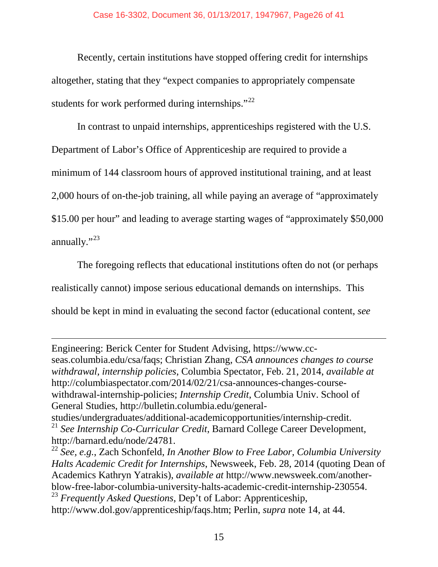Recently, certain institutions have stopped offering credit for internships altogether, stating that they "expect companies to appropriately compensate students for work performed during internships." $^{22}$  $^{22}$  $^{22}$ 

In contrast to unpaid internships, apprenticeships registered with the U.S. Department of Labor's Office of Apprenticeship are required to provide a minimum of 144 classroom hours of approved institutional training, and at least 2,000 hours of on-the-job training, all while paying an average of "approximately \$15.00 per hour" and leading to average starting wages of "approximately \$50,000 annually."<sup>[23](#page-25-1)</sup>

The foregoing reflects that educational institutions often do not (or perhaps realistically cannot) impose serious educational demands on internships. This should be kept in mind in evaluating the second factor (educational content, *see*

Engineering: Berick Center for Student Advising, https://www.ccseas.columbia.edu/csa/faqs; Christian Zhang, *CSA announces changes to course withdrawal, internship policies*, Columbia Spectator, Feb. 21, 2014, *available at*  http://columbiaspectator.com/2014/02/21/csa-announces-changes-coursewithdrawal-internship-policies; *Internship Credit*, Columbia Univ. School of General Studies, http://bulletin.columbia.edu/general-

 $\overline{a}$ 

studies/undergraduates/additional-academicopportunities/internship-credit. <sup>21</sup> *See Internship Co-Curricular Credit*, Barnard College Career Development,

<span id="page-25-0"></span>http://barnard.edu/node/24781. <sup>22</sup> *See, e.g.*, Zach Schonfeld, *In Another Blow to Free Labor, Columbia University Halts Academic Credit for Internships*, Newsweek, Feb. 28, 2014 (quoting Dean of Academics Kathryn Yatrakis), *available at* http://www.newsweek.com/anotherblow-free-labor-columbia-university-halts-academic-credit-internship-230554. <sup>23</sup> *Frequently Asked Questions*, Dep't of Labor: Apprenticeship,

<span id="page-25-1"></span>http://www.dol.gov/apprenticeship/faqs.htm; Perlin, *supra* note [14,](#page-23-6) at 44.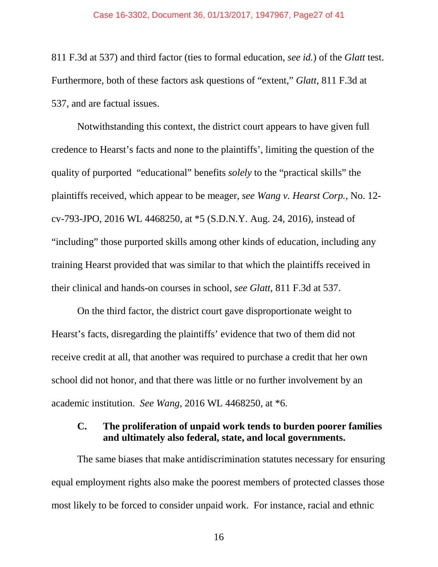811 F.3d at 537) and third factor (ties to formal education, *see id.*) of the *Glatt* test. Furthermore, both of these factors ask questions of "extent," *Glatt*, 811 F.3d at 537, and are factual issues.

Notwithstanding this context, the district court appears to have given full credence to Hearst's facts and none to the plaintiffs', limiting the question of the quality of purported "educational" benefits *solely* to the "practical skills" the plaintiffs received, which appear to be meager, *see Wang v. Hearst Corp.*, No. 12 cv-793-JPO, 2016 WL 4468250, at \*5 (S.D.N.Y. Aug. 24, 2016), instead of "including" those purported skills among other kinds of education, including any training Hearst provided that was similar to that which the plaintiffs received in their clinical and hands-on courses in school, *see Glatt*, 811 F.3d at 537.

On the third factor, the district court gave disproportionate weight to Hearst's facts, disregarding the plaintiffs' evidence that two of them did not receive credit at all, that another was required to purchase a credit that her own school did not honor, and that there was little or no further involvement by an academic institution. *See Wang*, 2016 WL 4468250, at \*6.

## <span id="page-26-0"></span>**C. The proliferation of unpaid work tends to burden poorer families and ultimately also federal, state, and local governments.**

The same biases that make antidiscrimination statutes necessary for ensuring equal employment rights also make the poorest members of protected classes those most likely to be forced to consider unpaid work. For instance, racial and ethnic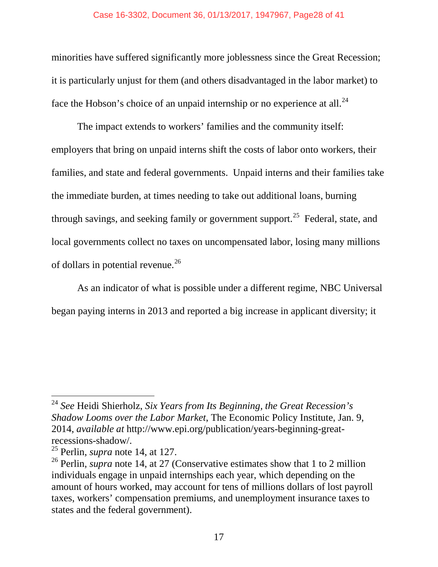minorities have suffered significantly more joblessness since the Great Recession; it is particularly unjust for them (and others disadvantaged in the labor market) to face the Hobson's choice of an unpaid internship or no experience at all. $^{24}$  $^{24}$  $^{24}$ 

<span id="page-27-3"></span>The impact extends to workers' families and the community itself: employers that bring on unpaid interns shift the costs of labor onto workers, their families, and state and federal governments. Unpaid interns and their families take the immediate burden, at times needing to take out additional loans, burning through savings, and seeking family or government support.<sup>25</sup> Federal, state, and local governments collect no taxes on uncompensated labor, losing many millions of dollars in potential revenue.<sup>[26](#page-27-2)</sup>

As an indicator of what is possible under a different regime, NBC Universal began paying interns in 2013 and reported a big increase in applicant diversity; it

<span id="page-27-0"></span><sup>24</sup> *See* Heidi Shierholz, *Six Years from Its Beginning, the Great Recession's Shadow Looms over the Labor Market*, The Economic Policy Institute, Jan. 9, 2014, *available at* http://www.epi.org/publication/years-beginning-greatrecessions-shadow/. <sup>25</sup> Perlin, *supra* note [14,](#page-23-6) at 127.

<span id="page-27-2"></span><span id="page-27-1"></span><sup>&</sup>lt;sup>26</sup> Perlin, *supra* note [14,](#page-23-6) at 27 (Conservative estimates show that 1 to 2 million individuals engage in unpaid internships each year, which depending on the amount of hours worked, may account for tens of millions dollars of lost payroll taxes, workers' compensation premiums, and unemployment insurance taxes to states and the federal government).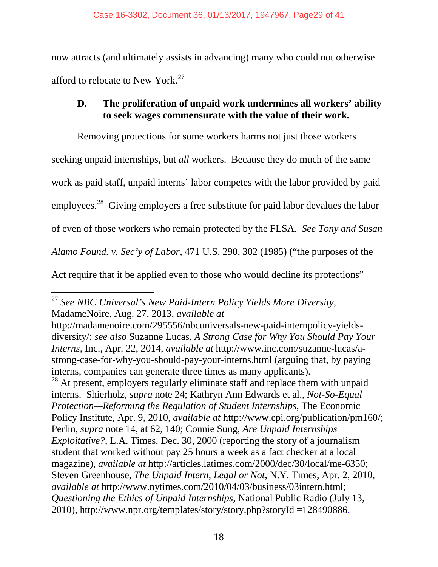now attracts (and ultimately assists in advancing) many who could not otherwise afford to relocate to New York.<sup>[27](#page-28-1)</sup>

## <span id="page-28-0"></span>**D. The proliferation of unpaid work undermines all workers' ability to seek wages commensurate with the value of their work.**

<span id="page-28-3"></span>Removing protections for some workers harms not just those workers seeking unpaid internships, but *all* workers. Because they do much of the same work as paid staff, unpaid interns' labor competes with the labor provided by paid employees.<sup>28</sup> Giving employers a free substitute for paid labor devalues the labor of even of those workers who remain protected by the FLSA. *See Tony and Susan Alamo Found. v. Sec'y of Labor*, 471 U.S. 290, 302 (1985) ("the purposes of the Act require that it be applied even to those who would decline its protections"

<span id="page-28-1"></span><sup>27</sup> *See NBC Universal's New Paid-Intern Policy Yields More Diversity*, MadameNoire, Aug. 27, 2013, *available at*   $\overline{a}$ 

<span id="page-28-2"></span>http://madamenoire.com/295556/nbcuniversals-new-paid-internpolicy-yieldsdiversity/; *see also* Suzanne Lucas, *A Strong Case for Why You Should Pay Your Interns*, Inc., Apr. 22, 2014, *available at* http://www.inc.com/suzanne-lucas/astrong-case-for-why-you-should-pay-your-interns.html (arguing that, by paying interns, companies can generate three times as many applicants). <sup>28</sup> At present, employers regularly eliminate staff and replace them with unpaid interns. Shierholz, *supra* note [24;](#page-27-3) Kathryn Ann Edwards et al., *Not-So-Equal Protection—Reforming the Regulation of Student Internships*, The Economic Policy Institute, Apr. 9, 2010, *available at* http://www.epi.org/publication/pm160/; Perlin, *supra* note [14,](#page-23-6) at 62, 140; Connie Sung, *Are Unpaid Internships Exploitative?*, L.A. Times*,* Dec. 30, 2000 (reporting the story of a journalism student that worked without pay 25 hours a week as a fact checker at a local magazine), *available at* http://articles.latimes.com/2000/dec/30/local/me-6350; Steven Greenhouse, *The Unpaid Intern, Legal or Not*, N.Y. Times, Apr. 2, 2010, *available at* http://www.nytimes.com/2010/04/03/business/03intern.html; *Questioning the Ethics of Unpaid Internships*, National Public Radio (July 13, 2010), http://www.npr.org/templates/story/story.php?storyId =128490886.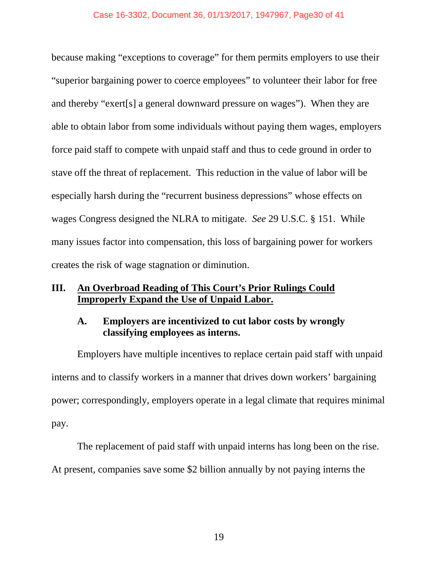#### Case 16-3302, Document 36, 01/13/2017, 1947967, Page30 of 41

because making "exceptions to coverage" for them permits employers to use their "superior bargaining power to coerce employees" to volunteer their labor for free and thereby "exert[s] a general downward pressure on wages"). When they are able to obtain labor from some individuals without paying them wages, employers force paid staff to compete with unpaid staff and thus to cede ground in order to stave off the threat of replacement. This reduction in the value of labor will be especially harsh during the "recurrent business depressions" whose effects on wages Congress designed the NLRA to mitigate. *See* 29 U.S.C. § 151. While many issues factor into compensation, this loss of bargaining power for workers creates the risk of wage stagnation or diminution.

## <span id="page-29-0"></span>**III. An Overbroad Reading of This Court's Prior Rulings Could Improperly Expand the Use of Unpaid Labor.**

## <span id="page-29-1"></span>**A. Employers are incentivized to cut labor costs by wrongly classifying employees as interns.**

Employers have multiple incentives to replace certain paid staff with unpaid interns and to classify workers in a manner that drives down workers' bargaining power; correspondingly, employers operate in a legal climate that requires minimal pay.

The replacement of paid staff with unpaid interns has long been on the rise.

At present, companies save some \$2 billion annually by not paying interns the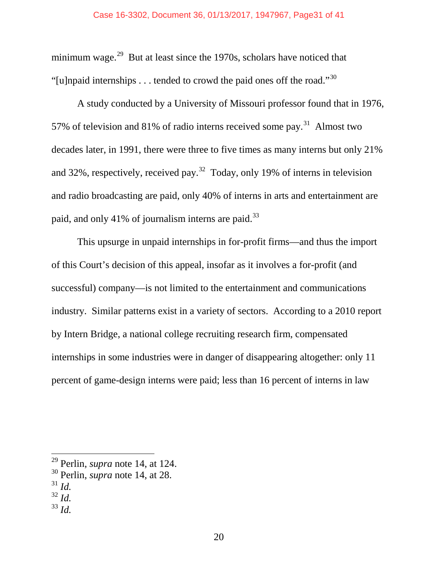minimum wage.<sup>29</sup> But at least since the 1970s, scholars have noticed that "[u]npaid internships  $\dots$  tended to crowd the paid ones off the road."<sup>30</sup>

A study conducted by a University of Missouri professor found that in 1976, 57% of television and 81% of radio interns received some pay.<sup>31</sup> Almost two decades later, in 1991, there were three to five times as many interns but only 21% and [32](#page-30-3)%, respectively, received pay.<sup>32</sup> Today, only 19% of interns in television and radio broadcasting are paid, only 40% of interns in arts and entertainment are paid, and only 41% of journalism interns are paid.<sup>[33](#page-30-4)</sup>

This upsurge in unpaid internships in for-profit firms—and thus the import of this Court's decision of this appeal, insofar as it involves a for-profit (and successful) company—is not limited to the entertainment and communications industry. Similar patterns exist in a variety of sectors. According to a 2010 report by Intern Bridge, a national college recruiting research firm, compensated internships in some industries were in danger of disappearing altogether: only 11 percent of game-design interns were paid; less than 16 percent of interns in law

 $\overline{a}$ 

<span id="page-30-4"></span><sup>33</sup> *Id.*

<sup>29</sup> Perlin, *supra* note [14,](#page-23-6) at 124.

<span id="page-30-1"></span><span id="page-30-0"></span><sup>30</sup> Perlin, *supra* note [14,](#page-23-6) at 28.

<span id="page-30-2"></span><sup>31</sup> *Id.*

<span id="page-30-3"></span><sup>32</sup> *Id.*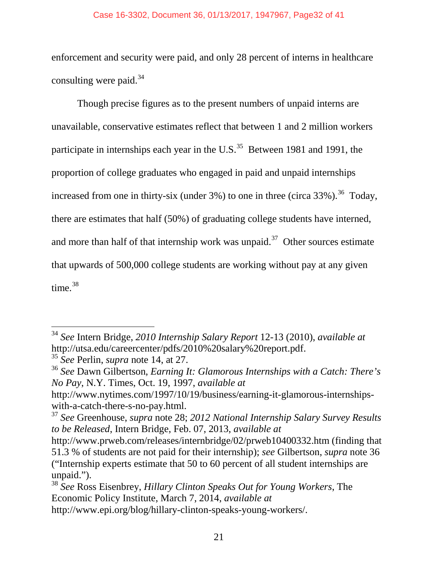#### Case 16-3302, Document 36, 01/13/2017, 1947967, Page32 of 41

enforcement and security were paid, and only 28 percent of interns in healthcare consulting were paid. $34$ 

<span id="page-31-0"></span>Though precise figures as to the present numbers of unpaid interns are unavailable, conservative estimates reflect that between 1 and 2 million workers participate in internships each year in the U.S.<sup>[35](#page-31-2)</sup> Between 1981 and 1991, the proportion of college graduates who engaged in paid and unpaid internships increased from one in thirty-six (under  $3\%$ ) to one in three (circa  $33\%$ ).<sup>36</sup> Today, there are estimates that half (50%) of graduating college students have interned, and more than half of that internship work was unpaid.<sup>[37](#page-31-4)</sup> Other sources estimate that upwards of 500,000 college students are working without pay at any given time.<sup>[38](#page-31-5)</sup>

<span id="page-31-1"></span><sup>34</sup> *See* Intern Bridge, *2010 Internship Salary Report* 12-13 (2010), *available at*  http://utsa.edu/careercenter/pdfs/2010%20salary%20report.pdf. <sup>35</sup> *See* Perlin, *supra* note [14,](#page-23-6) at 27.

<span id="page-31-2"></span>

<span id="page-31-3"></span><sup>36</sup> *See* Dawn Gilbertson, *Earning It: Glamorous Internships with a Catch: There's No Pay*, N.Y. Times, Oct. 19, 1997, *available at* 

http://www.nytimes.com/1997/10/19/business/earning-it-glamorous-internshipswith-a-catch-there-s-no-pay.html. <sup>37</sup> *See* Greenhouse, *supra* note [28;](#page-28-3) *2012 National Internship Salary Survey Results* 

<span id="page-31-4"></span>*to be Released*, Intern Bridge, Feb. 07, 2013, *available at* 

http://www.prweb.com/releases/internbridge/02/prweb10400332.htm (finding that 51.3 % of students are not paid for their internship); *see* Gilbertson, *supra* note [36](#page-31-0) ("Internship experts estimate that 50 to 60 percent of all student internships are unpaid.").

<span id="page-31-5"></span><sup>38</sup> *See* Ross Eisenbrey, *Hillary Clinton Speaks Out for Young Workers*, The Economic Policy Institute, March 7, 2014, *available at*  http://www.epi.org/blog/hillary-clinton-speaks-young-workers/.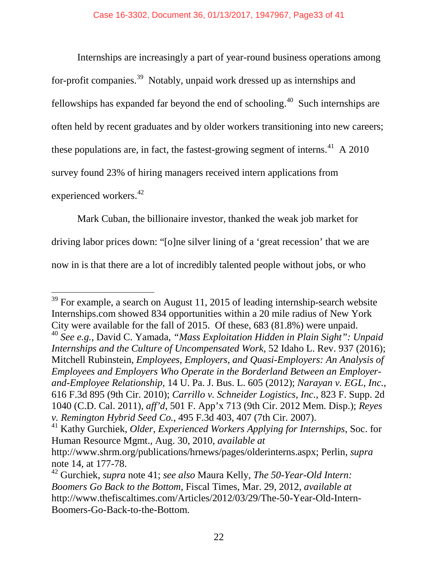Internships are increasingly a part of year-round business operations among for-profit companies.<sup>39</sup> Notably, unpaid work dressed up as internships and fellowships has expanded far beyond the end of schooling.<sup>[40](#page-32-2)</sup> Such internships are often held by recent graduates and by older workers transitioning into new careers; these populations are, in fact, the fastest-growing segment of interns.<sup>[41](#page-32-3)</sup> A 2010 survey found 23% of hiring managers received intern applications from experienced workers.<sup>[42](#page-32-4)</sup>

<span id="page-32-0"></span>Mark Cuban, the billionaire investor, thanked the weak job market for driving labor prices down: "[o]ne silver lining of a 'great recession' that we are now in is that there are a lot of incredibly talented people without jobs, or who

<span id="page-32-2"></span><span id="page-32-1"></span> $39$  For example, a search on August 11, 2015 of leading internship-search website Internships.com showed 834 opportunities within a 20 mile radius of New York City were available for the fall of 2015. Of these, 683 (81.8%) were unpaid. <sup>40</sup> *See e.g.*, David C. Yamada, *"Mass Exploitation Hidden in Plain Sight": Unpaid Internships and the Culture of Uncompensated Work*, 52 Idaho L. Rev. 937 (2016); Mitchell Rubinstein, *Employees, Employers, and Quasi-Employers: An Analysis of Employees and Employers Who Operate in the Borderland Between an Employerand-Employee Relationship*, 14 U. Pa. J. Bus. L. 605 (2012); *Narayan v. EGL, Inc.*, 616 F.3d 895 (9th Cir. 2010); *Carrillo v. Schneider Logistics, Inc.*, 823 F. Supp. 2d 1040 (C.D. Cal. 2011), *aff'd*, 501 F. App'x 713 (9th Cir. 2012 Mem. Disp.); *Reyes v. Remington Hybrid Seed Co.*, 495 F.3d 403, 407 (7th Cir. 2007). 41 Kathy Gurchiek, *Older, Experienced Workers Applying for Internships*, Soc. for

<span id="page-32-3"></span>Human Resource Mgmt., Aug. 30, 2010, *available at* 

http://www.shrm.org/publications/hrnews/pages/olderinterns.aspx; Perlin, *supra* note [14,](#page-23-6) at 177-78.

<span id="page-32-4"></span><sup>42</sup> Gurchiek, *supra* note [41;](#page-32-0) *see also* Maura Kelly, *The 50-Year-Old Intern: Boomers Go Back to the Bottom*, Fiscal Times, Mar. 29, 2012, *available at* http://www.thefiscaltimes.com/Articles/2012/03/29/The-50-Year-Old-Intern-Boomers-Go-Back-to-the-Bottom.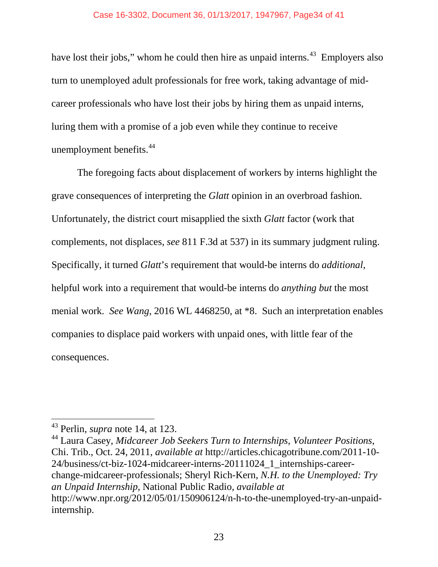have lost their jobs," whom he could then hire as unpaid interns.<sup>[43](#page-33-0)</sup> Employers also turn to unemployed adult professionals for free work, taking advantage of midcareer professionals who have lost their jobs by hiring them as unpaid interns, luring them with a promise of a job even while they continue to receive unemployment benefits.<sup>[44](#page-33-1)</sup>

The foregoing facts about displacement of workers by interns highlight the grave consequences of interpreting the *Glatt* opinion in an overbroad fashion. Unfortunately, the district court misapplied the sixth *Glatt* factor (work that complements, not displaces, *see* 811 F.3d at 537) in its summary judgment ruling. Specifically, it turned *Glatt*'s requirement that would-be interns do *additional*, helpful work into a requirement that would-be interns do *anything but* the most menial work. *See Wang*, 2016 WL 4468250, at \*8. Such an interpretation enables companies to displace paid workers with unpaid ones, with little fear of the consequences.

 $\overline{a}$ 

<span id="page-33-1"></span><sup>44</sup> Laura Casey, *Midcareer Job Seekers Turn to Internships, Volunteer Positions*, Chi. Trib., Oct. 24, 2011, *available at* http://articles.chicagotribune.com/2011-10- 24/business/ct-biz-1024-midcareer-interns-20111024\_1\_internships-careerchange-midcareer-professionals; Sheryl Rich-Kern, *N.H. to the Unemployed: Try an Unpaid Internship*, National Public Radio, *available at*  http://www.npr.org/2012/05/01/150906124/n-h-to-the-unemployed-try-an-unpaidinternship.

<span id="page-33-0"></span><sup>43</sup> Perlin, *supra* note [14,](#page-23-6) at 123.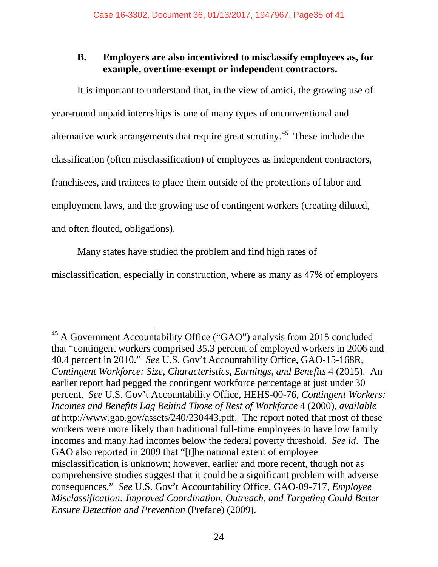## <span id="page-34-0"></span>**B. Employers are also incentivized to misclassify employees as, for example, overtime-exempt or independent contractors.**

It is important to understand that, in the view of amici, the growing use of year-round unpaid internships is one of many types of unconventional and alternative work arrangements that require great scrutiny.[45](#page-34-1) These include the classification (often misclassification) of employees as independent contractors, franchisees, and trainees to place them outside of the protections of labor and employment laws, and the growing use of contingent workers (creating diluted, and often flouted, obligations).

Many states have studied the problem and find high rates of

 $\overline{a}$ 

misclassification, especially in construction, where as many as 47% of employers

<span id="page-34-1"></span> $45$  A Government Accountability Office ("GAO") analysis from 2015 concluded that "contingent workers comprised 35.3 percent of employed workers in 2006 and 40.4 percent in 2010." *See* U.S. Gov't Accountability Office, GAO-15-168R, *Contingent Workforce: Size, Characteristics, Earnings, and Benefits* 4 (2015). An earlier report had pegged the contingent workforce percentage at just under 30 percent. *See* U.S. Gov't Accountability Office, HEHS-00-76, *Contingent Workers: Incomes and Benefits Lag Behind Those of Rest of Workforce* 4 (2000), *available at* http://www.gao.gov/assets/240/230443.pdf. The report noted that most of these workers were more likely than traditional full-time employees to have low family incomes and many had incomes below the federal poverty threshold. *See id*. The GAO also reported in 2009 that "[t]he national extent of employee misclassification is unknown; however, earlier and more recent, though not as comprehensive studies suggest that it could be a significant problem with adverse consequences." *See* U.S. Gov't Accountability Office, GAO-09-717, *Employee Misclassification: Improved Coordination, Outreach, and Targeting Could Better Ensure Detection and Prevention* (Preface) (2009).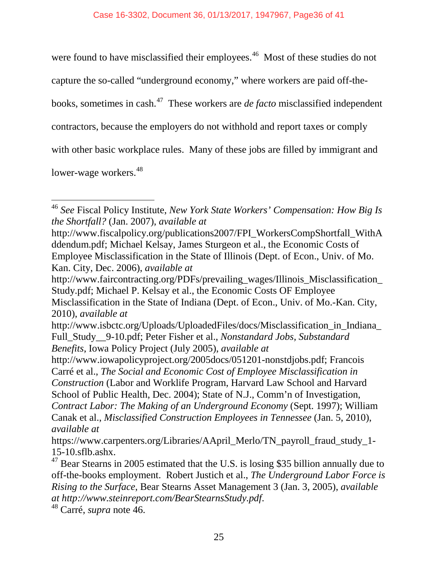<span id="page-35-0"></span>were found to have misclassified their employees.<sup>46</sup> Most of these studies do not

capture the so-called "underground economy," where workers are paid off-the-

books, sometimes in cash.[47](#page-35-2) These workers are *de facto* misclassified independent

contractors, because the employers do not withhold and report taxes or comply

with other basic workplace rules. Many of these jobs are filled by immigrant and

lower-wage workers.<sup>[48](#page-35-3)</sup>

http://www.faircontracting.org/PDFs/prevailing\_wages/Illinois\_Misclassification\_ Study.pdf; Michael P. Kelsay et al., the Economic Costs OF Employee Misclassification in the State of Indiana (Dept. of Econ., Univ. of Mo.-Kan. City, 2010), *available at*

<span id="page-35-1"></span><sup>46</sup> *See* Fiscal Policy Institute, *New York State Workers' Compensation: How Big Is the Shortfall?* (Jan. 2007), *available at*  $\overline{a}$ 

http://www.fiscalpolicy.org/publications2007/FPI\_WorkersCompShortfall\_WithA ddendum.pdf; Michael Kelsay, James Sturgeon et al., the Economic Costs of Employee Misclassification in the State of Illinois (Dept. of Econ., Univ. of Mo. Kan. City, Dec. 2006), *available at*

http://www.isbctc.org/Uploads/UploadedFiles/docs/Misclassification\_in\_Indiana\_ Full\_Study\_\_9-10.pdf; Peter Fisher et al., *Nonstandard Jobs, Substandard Benefits*, Iowa Policy Project (July 2005), *available at* 

http://www.iowapolicyproject.org/2005docs/051201-nonstdjobs.pdf; Francois Carré et al., *The Social and Economic Cost of Employee Misclassification in Construction* (Labor and Worklife Program, Harvard Law School and Harvard School of Public Health, Dec. 2004); State of N.J., Comm'n of Investigation, *Contract Labor: The Making of an Underground Economy* (Sept. 1997); William Canak et al., *Misclassified Construction Employees in Tennessee* (Jan. 5, 2010), *available at* 

https://www.carpenters.org/Libraries/AApril\_Merlo/TN\_payroll\_fraud\_study\_1-

<span id="page-35-2"></span><sup>15-10.</sup>sflb.ashx. 47 Bear Stearns in 2005 estimated that the U.S. is losing \$35 billion annually due to off-the-books employment. Robert Justich et al., *The Underground Labor Force is Rising to the Surface*, Bear Stearns Asset Management 3 (Jan. 3, 2005), *available at http://www.steinreport.com/BearStearnsStudy.pdf*. 48 Carré, *supra* note [46.](#page-35-0)

<span id="page-35-3"></span>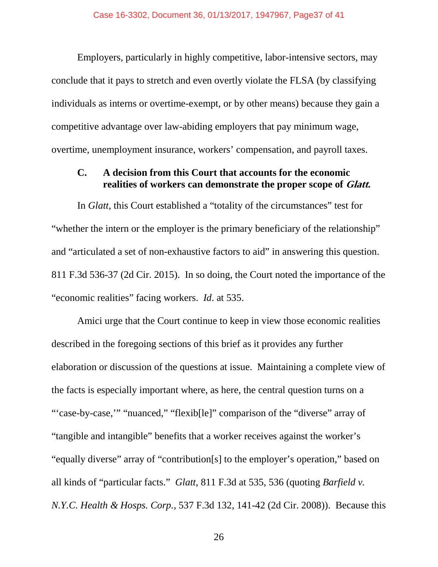Employers, particularly in highly competitive, labor-intensive sectors, may conclude that it pays to stretch and even overtly violate the FLSA (by classifying individuals as interns or overtime-exempt, or by other means) because they gain a competitive advantage over law-abiding employers that pay minimum wage, overtime, unemployment insurance, workers' compensation, and payroll taxes.

## <span id="page-36-0"></span>**C. A decision from this Court that accounts for the economic realities of workers can demonstrate the proper scope of Glatt.**

In *Glatt*, this Court established a "totality of the circumstances" test for "whether the intern or the employer is the primary beneficiary of the relationship" and "articulated a set of non-exhaustive factors to aid" in answering this question. 811 F.3d 536-37 (2d Cir. 2015). In so doing, the Court noted the importance of the "economic realities" facing workers. *Id*. at 535.

Amici urge that the Court continue to keep in view those economic realities described in the foregoing sections of this brief as it provides any further elaboration or discussion of the questions at issue. Maintaining a complete view of the facts is especially important where, as here, the central question turns on a "'case-by-case," "nuanced," "flexib[le]" comparison of the "diverse" array of "tangible and intangible" benefits that a worker receives against the worker's "equally diverse" array of "contribution[s] to the employer's operation," based on all kinds of "particular facts." *Glatt*, 811 F.3d at 535, 536 (quoting *Barfield v. N.Y.C. Health & Hosps. Corp.*, 537 F.3d 132, 141-42 (2d Cir. 2008)). Because this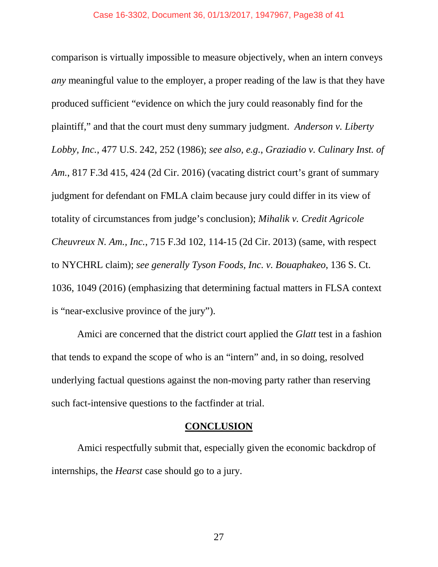comparison is virtually impossible to measure objectively, when an intern conveys *any* meaningful value to the employer, a proper reading of the law is that they have produced sufficient "evidence on which the jury could reasonably find for the plaintiff," and that the court must deny summary judgment. *Anderson v. Liberty Lobby, Inc.*, 477 U.S. 242, 252 (1986); *see also, e.g.*, *Graziadio v. Culinary Inst. of Am.*, 817 F.3d 415, 424 (2d Cir. 2016) (vacating district court's grant of summary judgment for defendant on FMLA claim because jury could differ in its view of totality of circumstances from judge's conclusion); *Mihalik v. Credit Agricole Cheuvreux N. Am., Inc.*, 715 F.3d 102, 114-15 (2d Cir. 2013) (same, with respect to NYCHRL claim); *see generally Tyson Foods, Inc. v. Bouaphakeo*, 136 S. Ct. 1036, 1049 (2016) (emphasizing that determining factual matters in FLSA context is "near-exclusive province of the jury").

Amici are concerned that the district court applied the *Glatt* test in a fashion that tends to expand the scope of who is an "intern" and, in so doing, resolved underlying factual questions against the non-moving party rather than reserving such fact-intensive questions to the factfinder at trial.

## **CONCLUSION**

<span id="page-37-0"></span>Amici respectfully submit that, especially given the economic backdrop of internships, the *Hearst* case should go to a jury.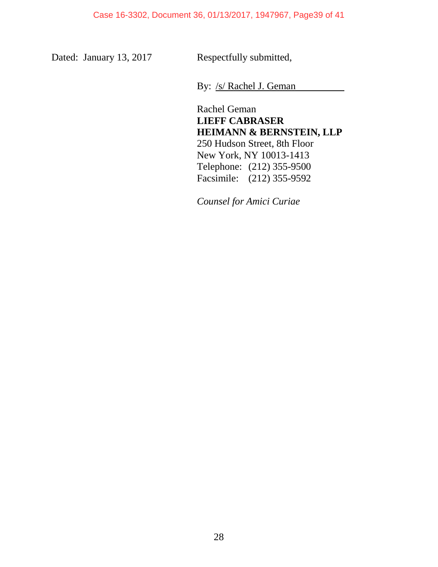Dated: January 13, 2017 Respectfully submitted,

By: /s/ Rachel J. Geman

Rachel Geman **LIEFF CABRASER HEIMANN & BERNSTEIN, LLP** 250 Hudson Street, 8th Floor New York, NY 10013-1413 Telephone: (212) 355-9500 Facsimile: (212) 355-9592

*Counsel for Amici Curiae*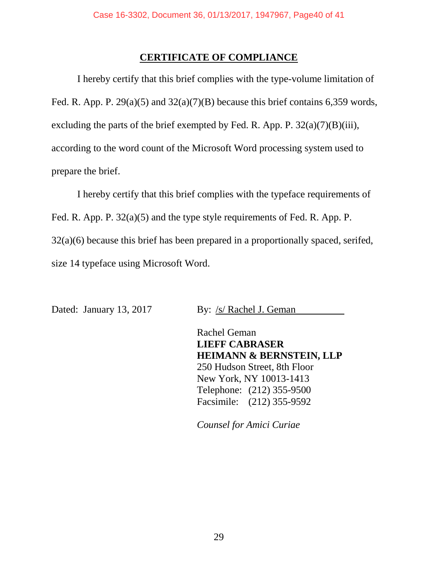## **CERTIFICATE OF COMPLIANCE**

<span id="page-39-0"></span>I hereby certify that this brief complies with the type-volume limitation of Fed. R. App. P. 29(a)(5) and 32(a)(7)(B) because this brief contains 6,359 words, excluding the parts of the brief exempted by Fed. R. App. P.  $32(a)(7)(B)(iii)$ , according to the word count of the Microsoft Word processing system used to prepare the brief.

I hereby certify that this brief complies with the typeface requirements of Fed. R. App. P. 32(a)(5) and the type style requirements of Fed. R. App. P. 32(a)(6) because this brief has been prepared in a proportionally spaced, serifed, size 14 typeface using Microsoft Word.

Dated: January 13, 2017 By: /s/ Rachel J. Geman

Rachel Geman **LIEFF CABRASER HEIMANN & BERNSTEIN, LLP** 250 Hudson Street, 8th Floor New York, NY 10013-1413 Telephone: (212) 355-9500 Facsimile: (212) 355-9592

*Counsel for Amici Curiae*